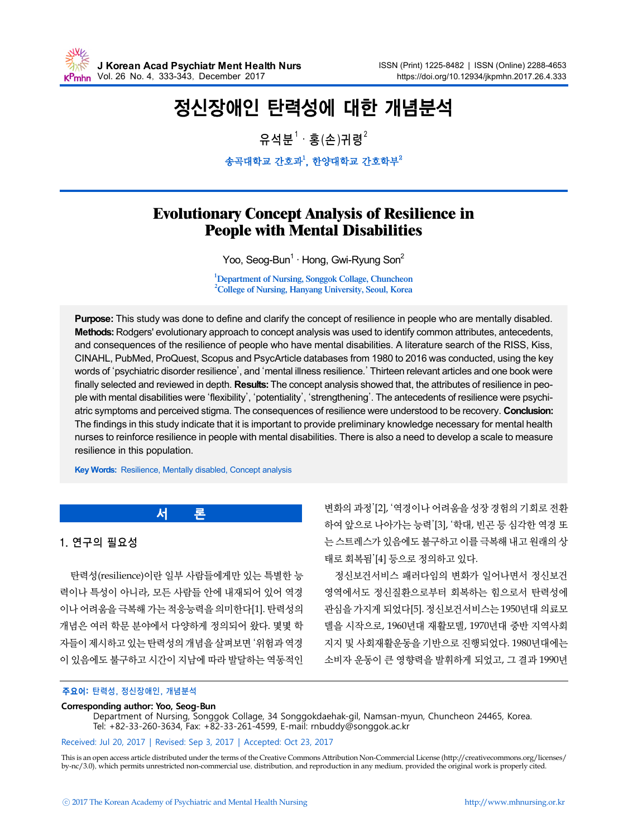

# 정신장애인 탄력성에 대한 개념분석

유석분 $^1\cdot$  홍(손)귀령 $^2$ 

송곡대학교 간호과 $^{\rm l}$ , 한양대학교 간호학부 $^{\rm 2}$ 

# Evolutionary Concept Analysis of Resilience in People with Mental Disabilities

Yoo, Seog-Bun $^1$  · Hong, Gwi-Ryung Son<sup>2</sup>

<sup>1</sup>Department of Nursing, Songgok Collage, Chuncheon <sup>2</sup>College of Nursing, Hanyang University, Seoul, Korea

**Purpose:** This study was done to define and clarify the concept of resilience in people who are mentally disabled. **Methods:** Rodgers' evolutionary approach to concept analysis was used to identify common attributes, antecedents, and consequences of the resilience of people who have mental disabilities. A literature search of the RISS, Kiss, CINAHL, PubMed, ProQuest, Scopus and PsycArticle databases from 1980 to 2016 was conducted, using the key words of 'psychiatric disorder resilience', and 'mental illness resilience.' Thirteen relevant articles and one book were finally selected and reviewed in depth. **Results:** The concept analysis showed that, the attributes of resilience in people with mental disabilities were 'flexibility', 'potentiality', 'strengthening'. The antecedents of resilience were psychiatric symptoms and perceived stigma. The consequences of resilience were understood to be recovery. **Conclusion:**  The findings in this study indicate that it is important to provide preliminary knowledge necessary for mental health nurses to reinforce resilience in people with mental disabilities. There is also a need to develop a scale to measure resilience in this population.

**Key Words:** Resilience, Mentally disabled, Concept analysis

**서 론**

## 1. 연구의 필요성

탄력성(resilience)이란 일부 사람들에게만 있는 특별한 능 력이나 특성이 아니라, 모든 사람들 안에 내재되어 있어 역경 이나 어려움을 극복해 가는 적응능력을 의미한다[1]. 탄력성의 개념은 여러 학문 분야에서 다양하게 정의되어 왔다. 몇몇 학 자들이 제시하고 있는 탄력성의 개념을 살펴보면 '위험과 역경 이 있음에도 불구하고 시간이 지남에 따라 발달하는 역동적인

변화의 과정'[2], '역경이나 어려움을 성장 경험의 기회로 전환 하여 앞으로 나아가는 능력'[3], '학대, 빈곤 등 심각한 역경 또 는 스트레스가 있음에도 불구하고 이를 극복해 내고 원래의 상 태로 회복됨'[4] 등으로 정의하고 있다.

정신보건서비스 패러다임의 변화가 일어나면서 정신보건 영역에서도 정신질환으로부터 회복하는 힘으로서 탄력성에 관심을 가지게 되었다[5]. 정신보건서비스는 1950년대 의료모 델을 시작으로, 1960년대 재활모델, 1970년대 중반 지역사회 지지 및 사회재활운동을 기반으로 진행되었다. 1980년대에는 소비자 운동이 큰 영향력을 발휘하게 되었고, 그 결과 1990년

#### 주요어: 탄력성, 정신장애인, 개념분석

#### **Corresponding author: Yoo, Seog-Bun**

Department of Nursing, Songgok Collage, 34 Songgokdaehak-gil, Namsan-myun, Chuncheon 24465, Korea. Tel: +82-33-260-3634, Fax: +82-33-261-4599, E-mail: rnbuddy@songgok.ac.kr

Received: Jul 20, 2017 | Revised: Sep 3, 2017 | Accepted: Oct 23, 2017

This is an open access article distributed under the terms of the Creative Commons Attribution Non-Commercial License (http://creativecommons.org/licenses/ by-nc/3.0), which permits unrestricted non-commercial use, distribution, and reproduction in any medium, provided the original work is properly cited.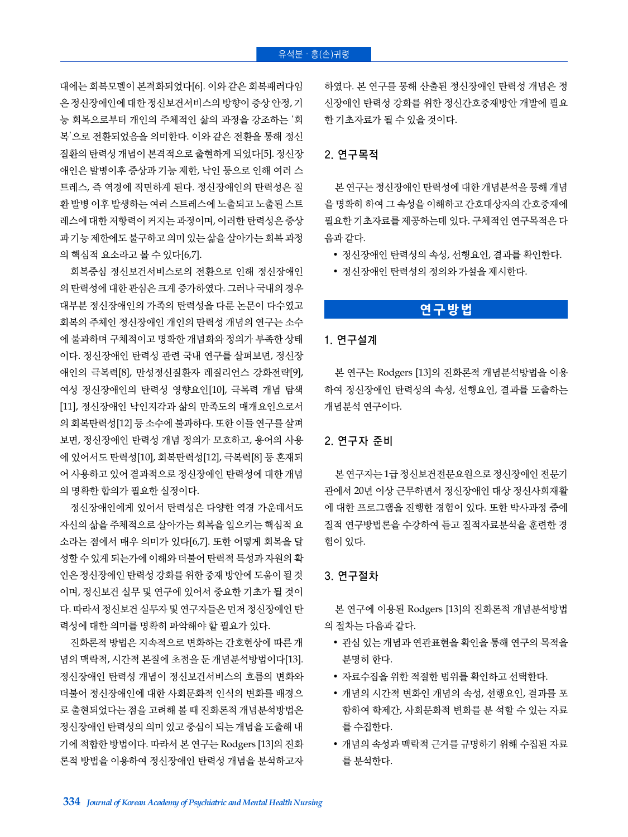대에는 회복모델이 본격화되었다[6]. 이와 같은 회복패러다임 은 정신장애인에 대한 정신보건서비스의 방향이 증상 안정, 기 능 회복으로부터 개인의 주체적인 삶의 과정을 강조하는 '회 복'으로 전환되었음을 의미한다. 이와 같은 전환을 통해 정신 질환의 탄력성 개념이 본격적으로 출현하게 되었다[5]. 정신장 애인은 발병이후 증상과 기능 제한, 낙인 등으로 인해 여러 스 트레스, 즉 역경에 직면하게 된다. 정신장애인의 탄력성은 질 환 발병 이후 발생하는 여러 스트레스에 노출되고 노출된 스트 레스에 대한 저항력이 커지는 과정이며, 이러한 탄력성은 증상 과 기능 제한에도 불구하고 의미 있는 삶을 살아가는 회복 과정 의 핵심적 요소라고 볼 수 있다[6,7].

회복중심 정신보건서비스로의 전환으로 인해 정신장애인 의 탄력성에 대한 관심은 크게 증가하였다. 그러나 국내의 경우 대부분 정신장애인의 가족의 탄력성을 다룬 논문이 다수였고 회복의 주체인 정신장애인 개인의 탄력성 개념의 연구는 소수 에 불과하며 구체적이고 명확한 개념화와 정의가 부족한 상태 이다. 정신장애인 탄력성 관련 국내 연구를 살펴보면, 정신장 애인의 극복력[8], 만성정신질환자 레질리언스 강화전략[9], 여성 정신장애인의 탄력성 영향요인[10], 극복력 개념 탐색 [11], 정신장애인 낙인지각과 삶의 만족도의 매개요인으로서 의 회복탄력성[12] 등 소수에 불과하다. 또한 이들 연구를 살펴 보면, 정신장애인 탄력성 개념 정의가 모호하고, 용어의 사용 에 있어서도 탄력성[10], 회복탄력성[12], 극복력[8] 등 혼재되 어 사용하고 있어 결과적으로 정신장애인 탄력성에 대한 개념 의 명확한 합의가 필요한 실정이다.

정신장애인에게 있어서 탄력성은 다양한 역경 가운데서도 자신의 삶을 주체적으로 살아가는 회복을 일으키는 핵심적 요 소라는 점에서 매우 의미가 있다[6,7]. 또한 어떻게 회복을 달 성할 수 있게 되는가에 이해와 더불어 탄력적 특성과 자원의 확 인은 정신장애인 탄력성 강화를 위한 중재 방안에 도움이 될 것 이며, 정신보건 실무 및 연구에 있어서 중요한 기초가 될 것이 다. 따라서 정신보건 실무자 및 연구자들은 먼저 정신장애인 탄 력성에 대한 의미를 명확히 파악해야 할 필요가 있다.

진화론적 방법은 지속적으로 변화하는 간호현상에 따른 개 념의 맥락적, 시간적 본질에 초점을 둔 개념분석방법이다[13]. 정신장애인 탄력성 개념이 정신보건서비스의 흐름의 변화와 더불어 정신장애인에 대한 사회문화적 인식의 변화를 배경으 로 출현되었다는 점을 고려해 볼 때 진화론적 개념분석방법은 정신장애인 탄력성의 의미 있고 중심이 되는 개념을 도출해 내 기에 적합한 방법이다. 따라서 본 연구는 Rodgers [13]의 진화 론적 방법을 이용하여 정신장애인 탄력성 개념을 분석하고자

하였다. 본 연구를 통해 산출된 정신장애인 탄력성 개념은 정 신장애인 탄력성 강화를 위한 정신간호중재방안 개발에 필요 한 기초자료가 될 수 있을 것이다.

## 2. 연구목적

본 연구는 정신장애인 탄력성에 대한 개념분석을 통해 개념 을 명확히 하여 그 속성을 이해하고 간호대상자의 간호중재에 필요한 기초자료를 제공하는데 있다. 구체적인 연구목적은 다 음과 같다.

정신장애인 탄력성의 속성, 선행요인, 결과를 확인한다.

정신장애인 탄력성의 정의와 가설을 제시한다.

## **연구방법**

#### 1. 연구설계

본 연구는 Rodgers [13]의 진화론적 개념분석방법을 이용 하여 정신장애인 탄력성의 속성, 선행요인, 결과를 도출하는 개념분석 연구이다.

## 2. 연구자 준비

본 연구자는 1급 정신보건전문요원으로 정신장애인 전문기 관에서 20년 이상 근무하면서 정신장애인 대상 정신사회재활 에 대한 프로그램을 진행한 경험이 있다. 또한 박사과정 중에 질적 연구방법론을 수강하여 듣고 질적자료분석을 훈련한 경 험이 있다.

## 3. 연구절차

본 연구에 이용된 Rodgers [13]의 진화론적 개념분석방법 의 절차는 다음과 같다.

- 관심 있는 개념과 연관표현을 확인을 통해 연구의 목적을 분명히 한다.
- 자료수집을 위한 적절한 범위를 확인하고 선택한다.
- 개념의 시간적 변화인 개념의 속성, 선행요인, 결과를 포 함하여 학제간, 사회문화적 변화를 분 석할 수 있는 자료 를 수집한다.
- 개념의 속성과 맥락적 근거를 규명하기 위해 수집된 자료 를 분석한다.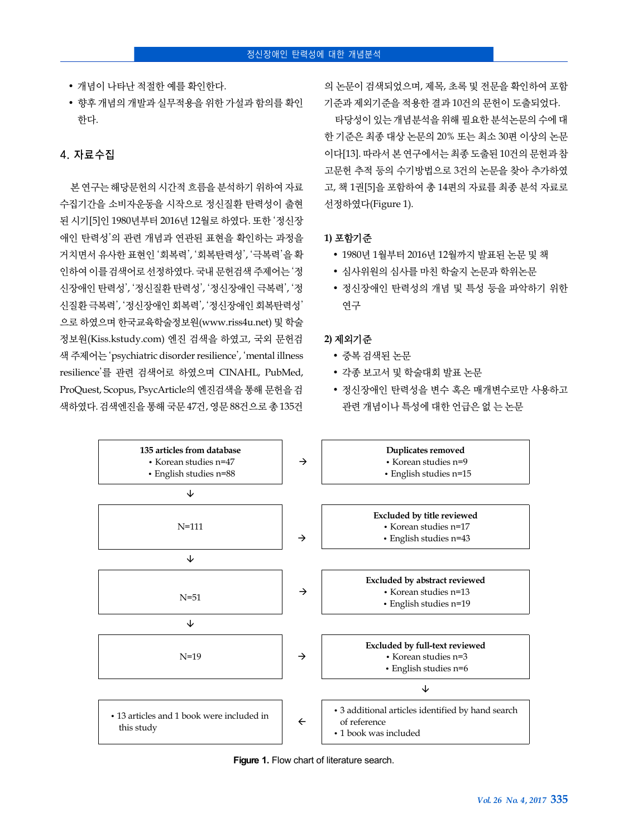- 개념이 나타난 적절한 예를 확인한다.
- 향후 개념의 개발과 실무적용을 위한 가설과 함의를 확인 한다.

## 4. 자료수집

본 연구는 해당문헌의 시간적 흐름을 분석하기 위하여 자료 수집기간을 소비자운동을 시작으로 정신질환 탄력성이 출현 된 시기[5]인 1980년부터 2016년 12월로 하였다. 또한 '정신장 애인 탄력성'의 관련 개념과 연관된 표현을 확인하는 과정을 거치면서 유사한 표현인 '회복력', '회복탄력성', '극복력'을 확 인하여 이를 검색어로 선정하였다. 국내 문헌검색 주제어는 '정 신장애인 탄력성', '정신질환 탄력성', '정신장애인 극복력', '정 신질환 극복력', '정신장애인 회복력', '정신장애인 회복탄력성' 으로 하였으며 한국교육학술정보원(www.riss4u.net) 및 학술 정보원(Kiss.kstudy.com) 엔진 검색을 하였고, 국외 문헌검 색 주제어는 'psychiatric disorder resilience', 'mental illness resilience'를 관련 검색어로 하였으며 CINAHL, PubMed, ProQuest, Scopus, PsycArticle의 엔진검색을 통해 문헌을 검 색하였다. 검색엔진을 통해 국문 47건, 영문 88건으로 총 135건

의 논문이 검색되었으며, 제목, 초록 및 전문을 확인하여 포함 기준과 제외기준을 적용한 결과 10건의 문헌이 도출되었다.

타당성이 있는 개념분석을 위해 필요한 분석논문의 수에 대 한 기준은 최종 대상 논문의 20% 또는 최소 30편 이상의 논문 이다[13]. 따라서 본 연구에서는 최종 도출된 10건의 문헌과 참 고문헌 추적 등의 수기방법으로 3건의 논문을 찾아 추가하였 고, 책 1권[5]을 포함하여 총 14편의 자료를 최종 분석 자료로 선정하였다(Figure 1).

## **1)** 포함기준

- 1980년 1월부터 2016년 12월까지 발표된 논문 및 책
- 심사위원의 심사를 마친 학술지 논문과 학위논문
- 정신장애인 탄력성의 개념 및 특성 등을 파악하기 위한 연구

#### **2)** 제외기준

- 중복 검색된 논문
- 각종 보고서 및 학술대회 발표 논문
- 정신장애인 탄력성을 변수 혹은 매개변수로만 사용하고 관련 개념이나 특성에 대한 언급은 없 는 논문



Figure 1. Flow chart of literature search.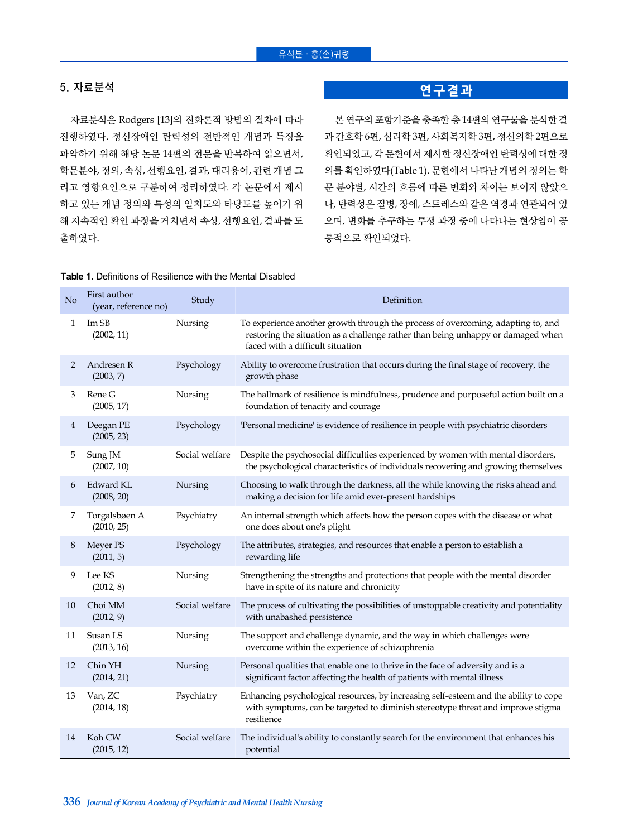## 5. 자료분석

자료분석은 Rodgers [13]의 진화론적 방법의 절차에 따라 진행하였다. 정신장애인 탄력성의 전반적인 개념과 특징을 파악하기 위해 해당 논문 14편의 전문을 반복하여 읽으면서, 학문분야, 정의, 속성, 선행요인, 결과, 대리용어, 관련 개념 그 리고 영향요인으로 구분하여 정리하였다. 각 논문에서 제시 하고 있는 개념 정의와 특성의 일치도와 타당도를 높이기 위 해 지속적인 확인 과정을 거치면서 속성, 선행요인, 결과를 도 출하였다.

## **연구결과**

본 연구의 포함기준을 충족한 총 14편의 연구물을 분석한 결 과 간호학 6편, 심리학 3편, 사회복지학 3편, 정신의학 2편으로 확인되었고, 각 문헌에서 제시한 정신장애인 탄력성에 대한 정 의를 확인하였다(Table 1). 문헌에서 나타난 개념의 정의는 학 문 분야별, 시간의 흐름에 따른 변화와 차이는 보이지 않았으 나, 탄력성은 질병, 장애, 스트레스와 같은 역경과 연관되어 있 으며, 변화를 추구하는 투쟁 과정 중에 나타나는 현상임이 공 통적으로 확인되었다.

#### **Table 1.** Definitions of Resilience with the Mental Disabled

| N <sub>o</sub> | First author<br>(year, reference no) | Study          | Definition                                                                                                                                                                                               |
|----------------|--------------------------------------|----------------|----------------------------------------------------------------------------------------------------------------------------------------------------------------------------------------------------------|
| 1              | ImSB<br>(2002, 11)                   | Nursing        | To experience another growth through the process of overcoming, adapting to, and<br>restoring the situation as a challenge rather than being unhappy or damaged when<br>faced with a difficult situation |
| 2              | Andresen R<br>(2003, 7)              | Psychology     | Ability to overcome frustration that occurs during the final stage of recovery, the<br>growth phase                                                                                                      |
| 3              | Rene G<br>(2005, 17)                 | Nursing        | The hallmark of resilience is mindfulness, prudence and purposeful action built on a<br>foundation of tenacity and courage                                                                               |
| 4              | Deegan PE<br>(2005, 23)              | Psychology     | 'Personal medicine' is evidence of resilience in people with psychiatric disorders                                                                                                                       |
| 5              | Sung JM<br>(2007, 10)                | Social welfare | Despite the psychosocial difficulties experienced by women with mental disorders,<br>the psychological characteristics of individuals recovering and growing themselves                                  |
| 6              | Edward KL<br>(2008, 20)              | Nursing        | Choosing to walk through the darkness, all the while knowing the risks ahead and<br>making a decision for life amid ever-present hardships                                                               |
| 7              | Torgalsbøen A<br>(2010, 25)          | Psychiatry     | An internal strength which affects how the person copes with the disease or what<br>one does about one's plight                                                                                          |
| 8              | Meyer PS<br>(2011, 5)                | Psychology     | The attributes, strategies, and resources that enable a person to establish a<br>rewarding life                                                                                                          |
| 9              | Lee KS<br>(2012, 8)                  | Nursing        | Strengthening the strengths and protections that people with the mental disorder<br>have in spite of its nature and chronicity                                                                           |
| 10             | Choi MM<br>(2012, 9)                 | Social welfare | The process of cultivating the possibilities of unstoppable creativity and potentiality<br>with unabashed persistence                                                                                    |
| 11             | Susan LS<br>(2013, 16)               | Nursing        | The support and challenge dynamic, and the way in which challenges were<br>overcome within the experience of schizophrenia                                                                               |
| 12             | Chin YH<br>(2014, 21)                | Nursing        | Personal qualities that enable one to thrive in the face of adversity and is a<br>significant factor affecting the health of patients with mental illness                                                |
| 13             | Van, ZC<br>(2014, 18)                | Psychiatry     | Enhancing psychological resources, by increasing self-esteem and the ability to cope<br>with symptoms, can be targeted to diminish stereotype threat and improve stigma<br>resilience                    |
| 14             | Koh CW<br>(2015, 12)                 | Social welfare | The individual's ability to constantly search for the environment that enhances his<br>potential                                                                                                         |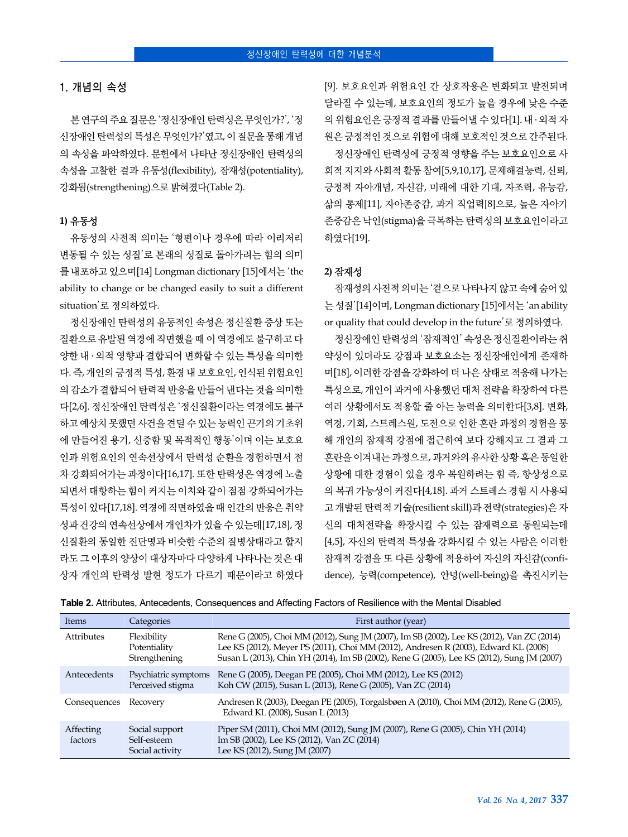## 1. 개념의 속성

본 연구의 주요 질문은 '정신장애인 탄력성은 무엇인가?', '정 신장애인 탄력성의 특성은 무엇인가?'였고, 이 질문을 통해 개념 의 속성을 파악하였다. 문헌에서 나타난 정신장애인 탄력성의 속성을 고찰한 결과 유동성(flexibility), 잠재성(potentiality), 강화됨(strengthening)으로 밝혀졌다(Table 2).

#### **1)** 유동성

유동성의 사전적 의미는 '형편이나 경우에 따라 이리저리 변동될 수 있는 성질'로 본래의 성질로 돌아가려는 힘의 의미 를 내포하고 있으며[14] Longman dictionary [15]에서는 'the ability to change or be changed easily to suit a different situation'로 정의하였다.

정신장애인 탄력성의 유동적인 속성은 정신질환 증상 또는 질환으로 유발된 역경에 직면했을 때 이 역경에도 불구하고 다 양한 내 ․ 외적 영향과 결합되어 변화할 수 있는 특성을 의미한 다. 즉, 개인의 긍정적 특성, 환경 내 보호요인, 인식된 위험요인 의 감소가 결합되어 탄력적 반응을 만들어 낸다는 것을 의미한 다[2,6]. 정신장애인 탄력성은 '정신질환이라는 역경에도 불구 하고 예상치 못했던 사건을 견딜 수 있는 능력인 끈기의 기초위 에 만들어진 용기, 신중함 및 목적적인 행동'이며 이는 보호요 인과 위험요인의 연속선상에서 탄력성 순환을 경험하면서 점 차 강화되어가는 과정이다[16,17]. 또한 탄력성은 역경에 노출 되면서 대항하는 힘이 커지는 이치와 같이 점점 강화되어가는 특성이 있다[17,18]. 역경에 직면하였을 때 인간의 반응은 취약 성과 건강의 연속선상에서 개인차가 있을 수 있는데[17,18], 정 신질환의 동일한 진단명과 비슷한 수준의 질병상태라고 할지 라도 그 이후의 양상이 대상자마다 다양하게 나타나는 것은 대 상자 개인의 탄력성 발현 정도가 다르기 때문이라고 하였다 [9]. 보호요인과 위험요인 간 상호작용은 변화되고 발전되며 달라질 수 있는데, 보호요인의 정도가 높을 경우에 낮은 수준 의 위험요인은 긍정적 결과를 만들어낼 수 있다[1]. 내 ․ 외적 자 원은 긍정적인 것으로 위험에 대해 보호적인 것으로 간주된다. 정신장애인 탄력성에 긍정적 영향을 주는 보호요인으로 사

회적 지지와 사회적 활동 참여[5,9,10,17], 문제해결능력, 신뢰, 긍정적 자아개념, 자신감, 미래에 대한 기대, 자조력, 유능감, 삶의 통제[11], 자아존중감, 과거 직업력[8]으로, 높은 자아기 존중감은 낙인(stigma)을 극복하는 탄력성의 보호요인이라고 하였다[19].

#### **2)** 잠재성

잠재성의 사전적 의미는 '겉으로 나타나지 않고 속에 숨어 있 는 성질'[14]이며, Longman dictionary [15]에서는 'an ability or quality that could develop in the future'로 정의하였다.

정신장애인 탄력성의 '잠재적인' 속성은 정신질환이라는 취 약성이 있더라도 강점과 보호요소는 정신장애인에게 존재하 며[18], 이러한 강점을 강화하여 더 나은 상태로 적응해 나가는 특성으로, 개인이 과거에 사용했던 대처 전략을 확장하여 다른 여러 상황에서도 적용할 줄 아는 능력을 의미한다[3,8]. 변화, 역경, 기회, 스트레스원, 도전으로 인한 혼란 과정의 경험을 통 해 개인의 잠재적 강점에 접근하여 보다 강해지고 그 결과 그 혼란을 이겨내는 과정으로, 과거와의 유사한 상황 혹은 동일한 상황에 대한 경험이 있을 경우 복원하려는 힘 즉, 항상성으로 의 복귀 가능성이 커진다[4,18]. 과거 스트레스 경험 시 사용되 고 개발된 탄력적 기술(resilient skill)과 전략(strategies)은 자 신의 대처전략을 확장시킬 수 있는 잠재력으로 동원되는데 [4,5], 자신의 탄력적 특성을 강화시킬 수 있는 사람은 이러한 잠재적 강점을 또 다른 상황에 적용하여 자신의 자신감(confidence), 능력(competence), 안녕(well-being)을 촉진시키는

| Items                | Categories                                       | First author (year)                                                                                                                                                                                                                                                            |
|----------------------|--------------------------------------------------|--------------------------------------------------------------------------------------------------------------------------------------------------------------------------------------------------------------------------------------------------------------------------------|
| <b>Attributes</b>    | Flexibility<br>Potentiality<br>Strengthening     | Rene G (2005), Choi MM (2012), Sung JM (2007), Im SB (2002), Lee KS (2012), Van ZC (2014)<br>Lee KS (2012), Meyer PS (2011), Choi MM (2012), Andresen R (2003), Edward KL (2008)<br>Susan L (2013), Chin YH (2014), Im SB (2002), Rene G (2005), Lee KS (2012), Sung JM (2007) |
| Antecedents          | Psychiatric symptoms<br>Perceived stigma         | Rene G (2005), Deegan PE (2005), Choi MM (2012), Lee KS (2012)<br>Koh CW (2015), Susan L (2013), Rene G (2005), Van ZC (2014)                                                                                                                                                  |
| Consequences         | Recovery                                         | Andresen R (2003), Deegan PE (2005), Torgalsbøen A (2010), Choi MM (2012), Rene G (2005),<br>Edward KL (2008), Susan L (2013)                                                                                                                                                  |
| Affecting<br>factors | Social support<br>Self-esteem<br>Social activity | Piper SM (2011), Choi MM (2012), Sung JM (2007), Rene G (2005), Chin YH (2014)<br>Im SB (2002), Lee KS (2012), Van ZC (2014)<br>Lee KS (2012), Sung JM (2007)                                                                                                                  |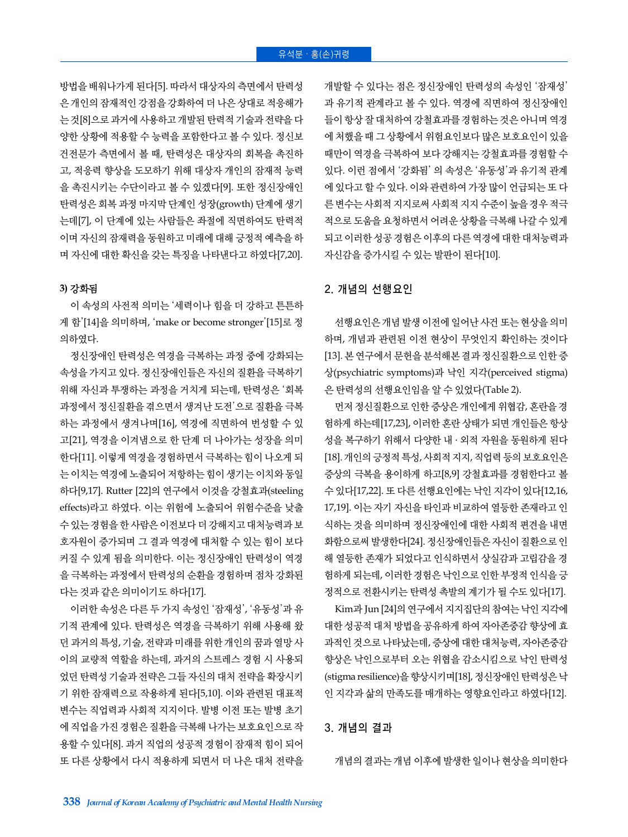방법을 배워나가게 된다[5]. 따라서 대상자의 측면에서 탄력성 은 개인의 잠재적인 강점을 강화하여 더 나은 상대로 적응해가 는 것[8]으로 과거에 사용하고 개발된 탄력적 기술과 전략을 다 양한 상황에 적용할 수 능력을 포함한다고 볼 수 있다. 정신보 건전문가 측면에서 볼 때, 탄력성은 대상자의 회복을 촉진하 고, 적응력 향상을 도모하기 위해 대상자 개인의 잠재적 능력 을 촉진시키는 수단이라고 볼 수 있겠다[9]. 또한 정신장애인 탄력성은 회복 과정 마지막 단계인 성장(growth) 단계에 생기 는데[7], 이 단계에 있는 사람들은 좌절에 직면하여도 탄력적 이며 자신의 잠재력을 동원하고 미래에 대해 긍정적 예측을 하 며 자신에 대한 확신을 갖는 특징을 나타낸다고 하였다[7,20].

#### **3)** 강화됨

이 속성의 사전적 의미는 '세력이나 힘을 더 강하고 튼튼하 게 함'[14]을 의미하며, 'make or become stronger'[15]로 정 의하였다.

정신장애인 탄력성은 역경을 극복하는 과정 중에 강화되는 속성을 가지고 있다. 정신장애인들은 자신의 질환을 극복하기 위해 자신과 투쟁하는 과정을 거치게 되는데, 탄력성은 '회복 과정에서 정신질환을 겪으면서 생겨난 도전'으로 질환을 극복 하는 과정에서 생겨나며[16], 역경에 직면하여 번성할 수 있 고[21], 역경을 이겨냄으로 한 단계 더 나아가는 성장을 의미 한다[11]. 이렇게 역경을 경험하면서 극복하는 힘이 나오게 되 는 이치는 역경에 노출되어 저항하는 힘이 생기는 이치와 동일 하다[9,17]. Rutter [22]의 연구에서 이것을 강철효과(steeling effects)라고 하였다. 이는 위험에 노출되어 위험수준을 낮출 수 있는 경험을 한 사람은 이전보다 더 강해지고 대처능력과 보 호자원이 증가되며 그 결과 역경에 대처할 수 있는 힘이 보다 커질 수 있게 됨을 의미한다. 이는 정신장애인 탄력성이 역경 을 극복하는 과정에서 탄력성의 순환을 경험하며 점차 강화된 다는 것과 같은 의미이기도 하다[17].

이러한 속성은 다른 두 가지 속성인 '잠재성', '유동성'과 유 기적 관계에 있다. 탄력성은 역경을 극복하기 위해 사용해 왔 던 과거의 특성, 기술, 전략과 미래를 위한 개인의 꿈과 열망 사 이의 교량적 역할을 하는데, 과거의 스트레스 경험 시 사용되 었던 탄력성 기술과 전략은 그들 자신의 대처 전략을 확장시키 기 위한 잠재력으로 작용하게 된다[5,10]. 이와 관련된 대표적 변수는 직업력과 사회적 지지이다. 발병 이전 또는 발병 초기 에 직업을 가진 경험은 질환을 극복해 나가는 보호요인으로 작 용할 수 있다[8]. 과거 직업의 성공적 경험이 잠재적 힘이 되어 또 다른 상황에서 다시 적용하게 되면서 더 나은 대처 전략을

개발할 수 있다는 점은 정신장애인 탄력성의 속성인 '잠재성' 과 유기적 관계라고 볼 수 있다. 역경에 직면하여 정신장애인 들이 항상 잘 대처하여 강철효과를 경험하는 것은 아니며 역경 에 처했을 때 그 상황에서 위험요인보다 많은 보호요인이 있을 때만이 역경을 극복하여 보다 강해지는 강철효과를 경험할 수 있다. 이런 점에서 '강화됨' 의 속성은 '유동성'과 유기적 관계 에 있다고 할 수 있다. 이와 관련하여 가장 많이 언급되는 또 다 른 변수는 사회적 지지로써 사회적 지지 수준이 높을 경우 적극 적으로 도움을 요청하면서 어려운 상황을 극복해 나갈 수 있게 되고 이러한 성공 경험은 이후의 다른 역경에 대한 대처능력과 자신감을 증가시킬 수 있는 발판이 된다[10].

## 2. 개념의 선행요인

선행요인은 개념 발생 이전에 일어난 사건 또는 현상을 의미 하며, 개념과 관련된 이전 현상이 무엇인지 확인하는 것이다 [13]. 본 연구에서 문헌을 분석해본 결과 정신질환으로 인한 증 상(psychiatric symptoms)과 낙인 지각(perceived stigma) 은 탄력성의 선행요인임을 알 수 있었다(Table 2).

먼저 정신질환으로 인한 증상은 개인에게 위협감, 혼란을 경 험하게 하는데[17,23], 이러한 혼란 상태가 되면 개인들은 항상 성을 복구하기 위해서 다양한 내 ․ 외적 자원을 동원하게 된다 [18]. 개인의 긍정적 특성, 사회적 지지, 직업력 등의 보호요인은 증상의 극복을 용이하게 하고[8,9] 강철효과를 경험한다고 볼 수 있다[17,22]. 또 다른 선행요인에는 낙인 지각이 있다[12,16, 17,19]. 이는 자기 자신을 타인과 비교하여 열등한 존재라고 인 식하는 것을 의미하며 정신장애인에 대한 사회적 편견을 내면 화함으로써 발생한다[24]. 정신장애인들은 자신이 질환으로 인 해 열등한 존재가 되었다고 인식하면서 상실감과 고립감을 경 험하게 되는데, 이러한 경험은 낙인으로 인한 부정적 인식을 긍 정적으로 전환시키는 탄력성 촉발의 계기가 될 수도 있다[17].

Kim과 Jun [24]의 연구에서 지지집단의 참여는 낙인 지각에 대한 성공적 대처 방법을 공유하게 하여 자아존중감 향상에 효 과적인 것으로 나타났는데, 증상에 대한 대처능력, 자아존중감 향상은 낙인으로부터 오는 위협을 감소시킴으로 낙인 탄력성 (stigma resilience)을 향상시키며[18], 정신장애인 탄력성은 낙 인 지각과 삶의 만족도를 매개하는 영향요인라고 하였다[12].

#### 3. 개념의 결과

개념의 결과는 개념 이후에 발생한 일이나 현상을 의미한다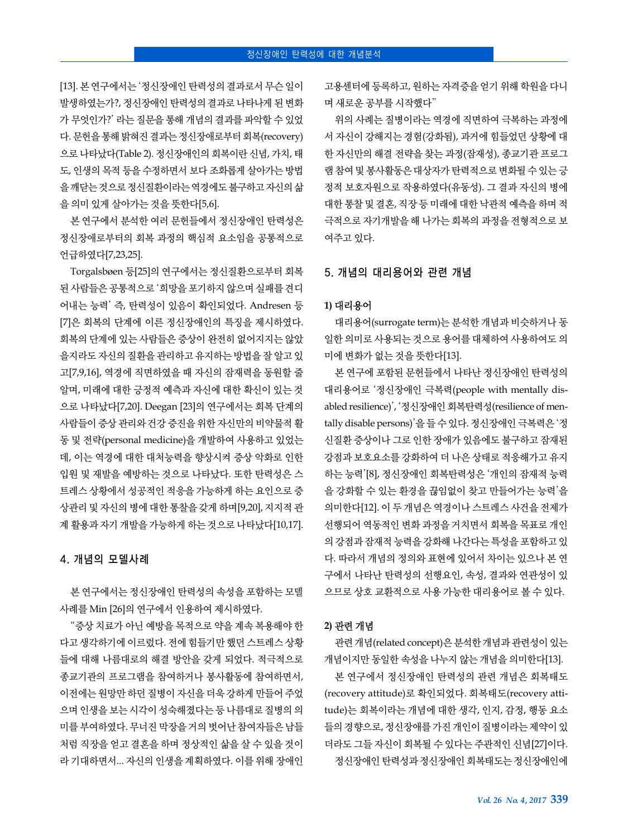[13]. 본 연구에서는 '정신장애인 탄력성의 결과로서 무슨 일이 발생하였는가?, 정신장애인 탄력성의 결과로 나타나게 된 변화 가 무엇인가?' 라는 질문을 통해 개념의 결과를 파악할 수 있었 다. 문헌을 통해 밝혀진 결과는 정신장애로부터 회복(recovery) 으로 나타났다(Table 2). 정신장애인의 회복이란 신념, 가치, 태 도, 인생의 목적 등을 수정하면서 보다 조화롭게 살아가는 방법 을 깨닫는 것으로 정신질환이라는 역경에도 불구하고 자신의 삶 을 의미 있게 살아가는 것을 뜻한다[5,6].

본 연구에서 분석한 여러 문헌들에서 정신장애인 탄력성은 정신장애로부터의 회복 과정의 핵심적 요소임을 공통적으로 언급하였다[7,23,25].

Torgalsbøen 등[25]의 연구에서는 정신질환으로부터 회복 된 사람들은 공통적으로 '희망을 포기하지 않으며 실패를 견디 어내는 능력' 즉, 탄력성이 있음이 확인되었다. Andresen 등 [7]은 회복의 단계에 이른 정신장애인의 특징을 제시하였다. 회복의 단계에 있는 사람들은 증상이 완전히 없어지지는 않았 을지라도 자신의 질환을 관리하고 유지하는 방법을 잘 알고 있 고[7,9,16], 역경에 직면하였을 때 자신의 잠재력을 동원할 줄 알며, 미래에 대한 긍정적 예측과 자신에 대한 확신이 있는 것 으로 나타났다[7,20]. Deegan [23]의 연구에서는 회복 단계의 사람들이 증상 관리와 건강 증진을 위한 자신만의 비약물적 활 동 및 전략(personal medicine)을 개발하여 사용하고 있었는 데, 이는 역경에 대한 대처능력을 향상시켜 증상 악화로 인한 입원 및 재발을 예방하는 것으로 나타났다. 또한 탄력성은 스 트레스 상황에서 성공적인 적응을 가능하게 하는 요인으로 증 상관리 및 자신의 병에 대한 통찰을 갖게 하며[9,20], 지지적 관 계 활용과 자기 개발을 가능하게 하는 것으로 나타났다[10,17].

## 4. 개념의 모델사례

본 연구에서는 정신장애인 탄력성의 속성을 포함하는 모델 사례를 Min [26]의 연구에서 인용하여 제시하였다.

"증상 치료가 아닌 예방을 목적으로 약을 계속 복용해야 한 다고 생각하기에 이르렀다. 전에 힘들기만 했던 스트레스 상황 들에 대해 나름대로의 해결 방안을 갖게 되었다. 적극적으로 종교기관의 프로그램을 참여하거나 봉사활동에 참여하면서, 이전에는 원망만 하던 질병이 자신을 더욱 강하게 만들어 주었 으며 인생을 보는 시각이 성숙해졌다는 등 나름대로 질병의 의 미를 부여하였다. 무너진 막장을 거의 벗어난 참여자들은 남들 처럼 직장을 얻고 결혼을 하며 정상적인 삶을 살 수 있을 것이 라 기대하면서... 자신의 인생을 계획하였다. 이를 위해 장애인

고용센터에 등록하고, 원하는 자격증을 얻기 위해 학원을 다니 며 새로운 공부를 시작했다"

위의 사례는 질병이라는 역경에 직면하여 극복하는 과정에 서 자신이 강해지는 경험(강화됨), 과거에 힘들었던 상황에 대 한 자신만의 해결 전략을 찾는 과정(잠재성), 종교기관 프로그 램 참여 및 봉사활동은 대상자가 탄력적으로 변화될 수 있는 긍 정적 보호자원으로 작용하였다(유동성). 그 결과 자신의 병에 대한 통찰 및 결혼, 직장 등 미래에 대한 낙관적 예측을 하며 적 극적으로 자기개발을 해 나가는 회복의 과정을 전형적으로 보 여주고 있다.

## 5. 개념의 대리용어와 관련 개념

#### **1)** 대리용어

대리용어(surrogate term)는 분석한 개념과 비슷하거나 동 일한 의미로 사용되는 것으로 용어를 대체하여 사용하여도 의 미에 변화가 없는 것을 뜻한다[13].

본 연구에 포함된 문헌들에서 나타난 정신장애인 탄력성의 대리용어로 '정신장애인 극복력(people with mentally disabled resilience)', '정신장애인 회복탄력성(resilience of mentally disable persons)'을 들 수 있다. 정신장애인 극복력은 '정 신질환 증상이나 그로 인한 장애가 있음에도 불구하고 잠재된 강점과 보호요소를 강화하여 더 나은 상태로 적응해가고 유지 하는 능력'[8], 정신장애인 회복탄력성은 '개인의 잠재적 능력 을 강화할 수 있는 환경을 끊임없이 찾고 만들어가는 능력'을 의미한다[12]. 이 두 개념은 역경이나 스트레스 사건을 전제가 선행되어 역동적인 변화 과정을 거치면서 회복을 목표로 개인 의 강점과 잠재적 능력을 강화해 나간다는 특성을 포함하고 있 다. 따라서 개념의 정의와 표현에 있어서 차이는 있으나 본 연 구에서 나타난 탄력성의 선행요인, 속성, 결과와 연관성이 있 으므로 상호 교환적으로 사용 가능한 대리용어로 볼 수 있다.

#### **2)** 관련 개념

관련 개념(related concept)은 분석한 개념과 관련성이 있는 개념이지만 동일한 속성을 나누지 않는 개념을 의미한다[13].

본 연구에서 정신장애인 탄력성의 관련 개념은 회복태도 (recovery attitude)로 확인되었다. 회복태도(recovery attitude)는 회복이라는 개념에 대한 생각, 인지, 감정, 행동 요소 들의 경향으로, 정신장애를 가진 개인이 질병이라는 제약이 있 더라도 그들 자신이 회복될 수 있다는 주관적인 신념[27]이다. 정신장애인 탄력성과 정신장애인 회복태도는 정신장애인에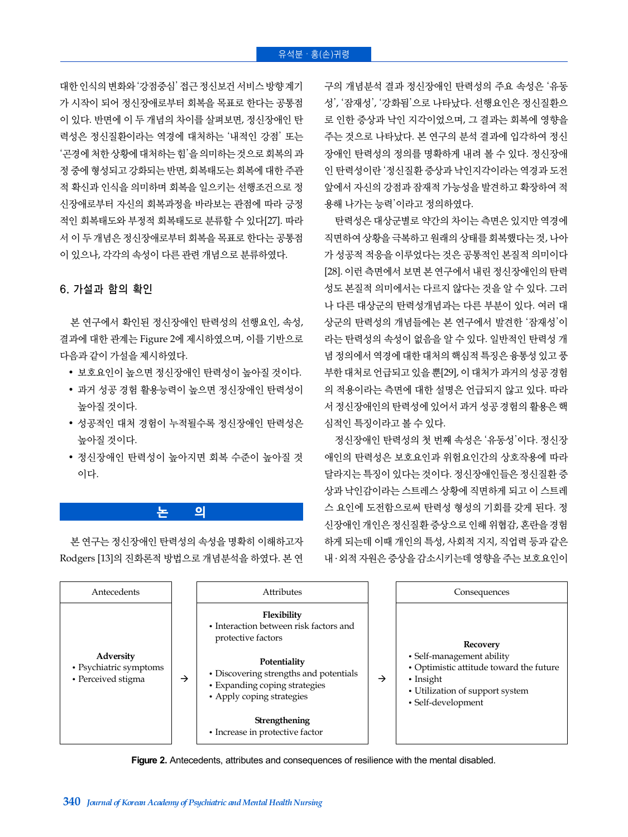대한 인식의 변화와 '강점중심' 접근 정신보건 서비스 방향 계기 가 시작이 되어 정신장애로부터 회복을 목표로 한다는 공통점 이 있다. 반면에 이 두 개념의 차이를 살펴보면, 정신장애인 탄 력성은 정신질환이라는 역경에 대처하는 '내적인 강점' 또는 '곤경에 처한 상황에 대처하는 힘'을 의미하는 것으로 회복의 과 정 중에 형성되고 강화되는 반면, 회복태도는 회복에 대한 주관 적 확신과 인식을 의미하며 회복을 일으키는 선행조건으로 정 신장애로부터 자신의 회복과정을 바라보는 관점에 따라 긍정 적인 회복태도와 부정적 회복태도로 분류할 수 있다[27]. 따라 서 이 두 개념은 정신장애로부터 회복을 목표로 한다는 공통점 이 있으나, 각각의 속성이 다른 관련 개념으로 분류하였다.

## 6. 가설과 함의 확인

본 연구에서 확인된 정신장애인 탄력성의 선행요인, 속성, 결과에 대한 관계는 Figure 2에 제시하였으며, 이를 기반으로 다음과 같이 가설을 제시하였다.

- 보호요인이 높으면 정신장애인 탄력성이 높아질 것이다.
- 과거 성공 경험 활용능력이 높으면 정신장애인 탄력성이 높아질 것이다.
- 성공적인 대처 경험이 누적될수록 정신장애인 탄력성은 높아질 것이다.
- 정신장애인 탄력성이 높아지면 회복 수준이 높아질 것 이다.

## **논 의**

본 연구는 정신장애인 탄력성의 속성을 명확히 이해하고자 Rodgers [13]의 진화론적 방법으로 개념분석을 하였다. 본 연 구의 개념분석 결과 정신장애인 탄력성의 주요 속성은 '유동 성', '잠재성', '강화됨'으로 나타났다. 선행요인은 정신질환으 로 인한 증상과 낙인 지각이었으며, 그 결과는 회복에 영향을 주는 것으로 나타났다. 본 연구의 분석 결과에 입각하여 정신 장애인 탄력성의 정의를 명확하게 내려 볼 수 있다. 정신장애 인 탄력성이란 '정신질환 증상과 낙인지각이라는 역경과 도전 앞에서 자신의 강점과 잠재적 가능성을 발견하고 확장하여 적 용해 나가는 능력'이라고 정의하였다.

탄력성은 대상군별로 약간의 차이는 측면은 있지만 역경에 직면하여 상황을 극복하고 원래의 상태를 회복했다는 것, 나아 가 성공적 적응을 이루었다는 것은 공통적인 본질적 의미이다 [28]. 이런 측면에서 보면 본 연구에서 내린 정신장애인의 탄력 성도 본질적 의미에서는 다르지 않다는 것을 알 수 있다. 그러 나 다른 대상군의 탄력성개념과는 다른 부분이 있다. 여러 대 상군의 탄력성의 개념들에는 본 연구에서 발견한 '잠재성'이 라는 탄력성의 속성이 없음을 알 수 있다. 일반적인 탄력성 개 념 정의에서 역경에 대한 대처의 핵심적 특징은 융통성 있고 풍 부한 대처로 언급되고 있을 뿐[29], 이 대처가 과거의 성공 경험 의 적용이라는 측면에 대한 설명은 언급되지 않고 있다. 따라 서 정신장애인의 탄력성에 있어서 과거 성공 경험의 활용은 핵 심적인 특징이라고 볼 수 있다.

정신장애인 탄력성의 첫 번째 속성은 '유동성'이다. 정신장 애인의 탄력성은 보호요인과 위험요인간의 상호작용에 따라 달라지는 특징이 있다는 것이다. 정신장애인들은 정신질환 증 상과 낙인감이라는 스트레스 상황에 직면하게 되고 이 스트레 스 요인에 도전함으로써 탄력성 형성의 기회를 갖게 된다. 정 신장애인 개인은 정신질환 증상으로 인해 위협감, 혼란을 경험 하게 되는데 이때 개인의 특성, 사회적 지지, 직업력 등과 같은 내 ․ 외적 자원은 증상을 감소시키는데 영향을 주는 보호요인이



**Figure 2.** Antecedents, attributes and consequences of resilience with the mental disabled.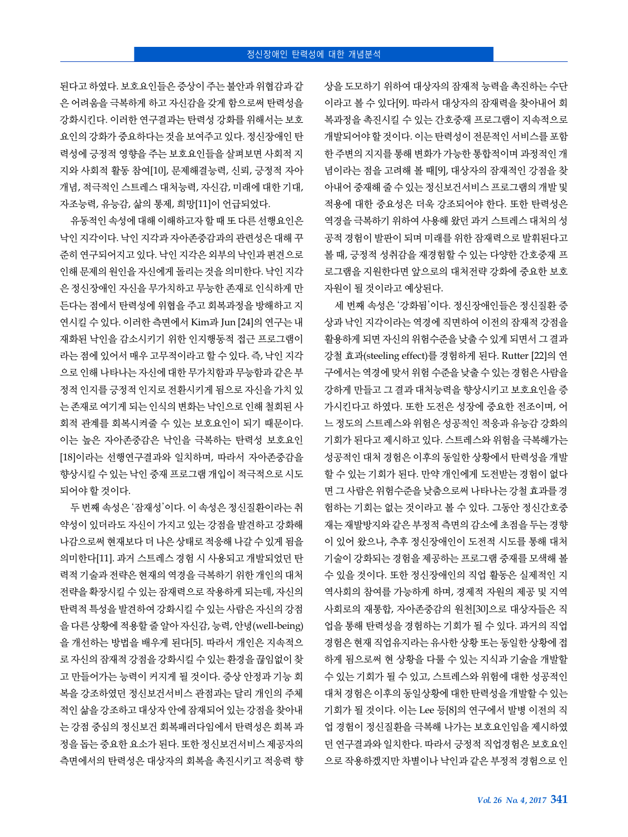된다고 하였다. 보호요인들은 증상이 주는 불안과 위협감과 같 은 어려움을 극복하게 하고 자신감을 갖게 함으로써 탄력성을 강화시킨다. 이러한 연구결과는 탄력성 강화를 위해서는 보호 요인의 강화가 중요하다는 것을 보여주고 있다. 정신장애인 탄 력성에 긍정적 영향을 주는 보호요인들을 살펴보면 사회적 지 지와 사회적 활동 참여[10], 문제해결능력, 신뢰, 긍정적 자아 개념, 적극적인 스트레스 대처능력, 자신감, 미래에 대한 기대, 자조능력, 유능감, 삶의 통제, 희망[11]이 언급되었다.

유동적인 속성에 대해 이해하고자 할 때 또 다른 선행요인은 낙인 지각이다. 낙인 지각과 자아존중감과의 관련성은 대해 꾸 준히 연구되어지고 있다. 낙인 지각은 외부의 낙인과 편견으로 인해 문제의 원인을 자신에게 돌리는 것을 의미한다. 낙인 지각 은 정신장애인 자신을 무가치하고 무능한 존재로 인식하게 만 든다는 점에서 탄력성에 위협을 주고 회복과정을 방해하고 지 연시킬 수 있다. 이러한 측면에서 Kim과 Jun [24]의 연구는 내 재화된 낙인을 감소시키기 위한 인지행동적 접근 프로그램이 라는 점에 있어서 매우 고무적이라고 할 수 있다. 즉, 낙인 지각 으로 인해 나타나는 자신에 대한 무가치함과 무능함과 같은 부 정적 인지를 긍정적 인지로 전환시키게 됨으로 자신을 가치 있 는 존재로 여기게 되는 인식의 변화는 낙인으로 인해 철회된 사 회적 관계를 회복시켜줄 수 있는 보호요인이 되기 때문이다. 이는 높은 자아존중감은 낙인을 극복하는 탄력성 보호요인 [18]이라는 선행연구결과와 일치하며, 따라서 자아존중감을 향상시킬 수 있는 낙인 중재 프로그램 개입이 적극적으로 시도 되어야 할 것이다.

두 번째 속성은 '잠재성'이다. 이 속성은 정신질환이라는 취 약성이 있더라도 자신이 가지고 있는 강점을 발견하고 강화해 나감으로써 현재보다 더 나은 상태로 적응해 나갈 수 있게 됨을 의미한다[11]. 과거 스트레스 경험 시 사용되고 개발되었던 탄 력적 기술과 전략은 현재의 역경을 극복하기 위한 개인의 대처 전략을 확장시킬 수 있는 잠재력으로 작용하게 되는데, 자신의 탄력적 특성을 발견하여 강화시킬 수 있는 사람은 자신의 강점 을 다른 상황에 적용할 줄 알아 자신감, 능력, 안녕(well-being) 을 개선하는 방법을 배우게 된다[5]. 따라서 개인은 지속적으 로 자신의 잠재적 강점을 강화시킬 수 있는 환경을 끊임없이 찾 고 만들어가는 능력이 커지게 될 것이다. 증상 안정과 기능 회 복을 강조하였던 정신보건서비스 관점과는 달리 개인의 주체 적인 삶을 강조하고 대상자 안에 잠재되어 있는 강점을 찾아내 는 강점 중심의 정신보건 회복패러다임에서 탄력성은 회복 과 정을 돕는 중요한 요소가 된다. 또한 정신보건서비스 제공자의 측면에서의 탄력성은 대상자의 회복을 촉진시키고 적응력 향

상을 도모하기 위하여 대상자의 잠재적 능력을 촉진하는 수단 이라고 볼 수 있다[9]. 따라서 대상자의 잠재력을 찾아내어 회 복과정을 촉진시킬 수 있는 간호중재 프로그램이 지속적으로 개발되어야 할 것이다. 이는 탄력성이 전문적인 서비스를 포함 한 주변의 지지를 통해 변화가 가능한 통합적이며 과정적인 개 념이라는 점을 고려해 볼 때[9], 대상자의 잠재적인 강점을 찾 아내어 중재해 줄 수 있는 정신보건서비스 프로그램의 개발 및 적용에 대한 중요성은 더욱 강조되어야 한다. 또한 탄력성은 역경을 극복하기 위하여 사용해 왔던 과거 스트레스 대처의 성 공적 경험이 발판이 되며 미래를 위한 잠재력으로 발휘된다고 볼 때, 긍정적 성취감을 재경험할 수 있는 다양한 간호중재 프 로그램을 지원한다면 앞으로의 대처전략 강화에 중요한 보호 자원이 될 것이라고 예상된다.

세 번째 속성은 '강화됨'이다. 정신장애인들은 정신질환 증 상과 낙인 지각이라는 역경에 직면하여 이전의 잠재적 강점을 활용하게 되면 자신의 위험수준을 낮출 수 있게 되면서 그 결과 강철 효과(steeling effect)를 경험하게 된다. Rutter [22]의 연 구에서는 역경에 맞서 위험 수준을 낮출 수 있는 경험은 사람을 강하게 만들고 그 결과 대처능력을 향상시키고 보호요인을 증 가시킨다고 하였다. 또한 도전은 성장에 중요한 전조이며, 어 느 정도의 스트레스와 위험은 성공적인 적응과 유능감 강화의 기회가 된다고 제시하고 있다. 스트레스와 위험을 극복해가는 성공적인 대처 경험은 이후의 동일한 상황에서 탄력성을 개발 할 수 있는 기회가 된다. 만약 개인에게 도전받는 경험이 없다 면 그 사람은 위험수준을 낮춤으로써 나타나는 강철 효과를 경 험하는 기회는 없는 것이라고 볼 수 있다. 그동안 정신간호중 재는 재발방지와 같은 부정적 측면의 감소에 초점을 두는 경향 이 있어 왔으나, 추후 정신장애인이 도전적 시도를 통해 대처 기술이 강화되는 경험을 제공하는 프로그램 중재를 모색해 볼 수 있을 것이다. 또한 정신장애인의 직업 활동은 실제적인 지 역사회의 참여를 가능하게 하며, 경제적 자원의 제공 및 지역 사회로의 재통합, 자아존중감의 원천[30]으로 대상자들은 직 업을 통해 탄력성을 경험하는 기회가 될 수 있다. 과거의 직업 경험은 현재 직업유지라는 유사한 상황 또는 동일한 상황에 접 하게 됨으로써 현 상황을 다룰 수 있는 지식과 기술을 개발할 수 있는 기회가 될 수 있고, 스트레스와 위험에 대한 성공적인 대처 경험은 이후의 동일상황에 대한 탄력성을 개발할 수 있는 기회가 될 것이다. 이는 Lee 등[8]의 연구에서 발병 이전의 직 업 경험이 정신질환을 극복해 나가는 보호요인임을 제시하였 던 연구결과와 일치한다. 따라서 긍정적 직업경험은 보호요인 으로 작용하겠지만 차별이나 낙인과 같은 부정적 경험으로 인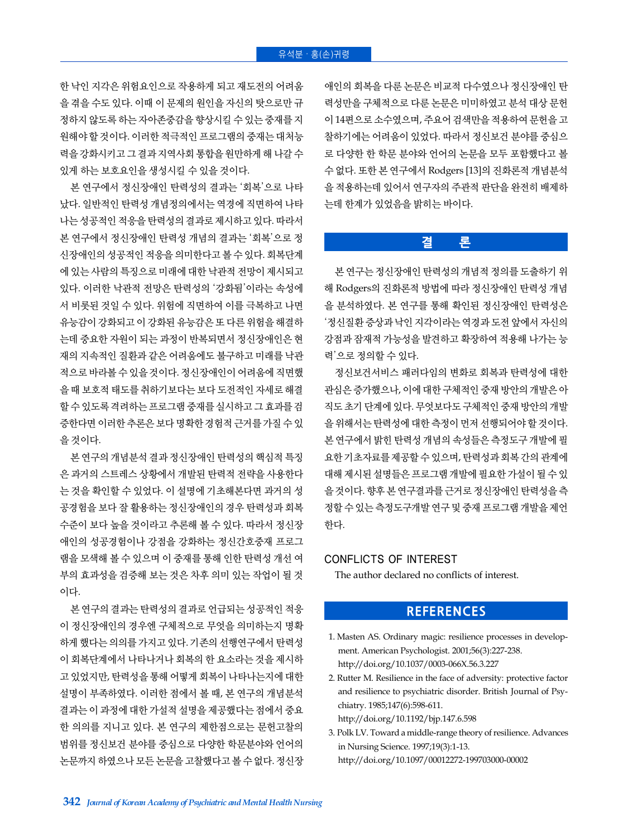한 낙인 지각은 위험요인으로 작용하게 되고 재도전의 어려움 을 겪을 수도 있다. 이때 이 문제의 원인을 자신의 탓으로만 규 정하지 않도록 하는 자아존중감을 향상시킬 수 있는 중재를 지 원해야 할 것이다. 이러한 적극적인 프로그램의 중재는 대처능 력을 강화시키고 그 결과 지역사회 통합을 원만하게 해 나갈 수 있게 하는 보호요인을 생성시킬 수 있을 것이다.

본 연구에서 정신장애인 탄력성의 결과는 '회복'으로 나타 났다. 일반적인 탄력성 개념정의에서는 역경에 직면하여 나타 나는 성공적인 적응을 탄력성의 결과로 제시하고 있다. 따라서 본 연구에서 정신장애인 탄력성 개념의 결과는 '회복'으로 정 신장애인의 성공적인 적응을 의미한다고 볼 수 있다. 회복단계 에 있는 사람의 특징으로 미래에 대한 낙관적 전망이 제시되고 있다. 이러한 낙관적 전망은 탄력성의 '강화됨'이라는 속성에 서 비롯된 것일 수 있다. 위험에 직면하여 이를 극복하고 나면 유능감이 강화되고 이 강화된 유능감은 또 다른 위험을 해결하 는데 중요한 자원이 되는 과정이 반복되면서 정신장애인은 현 재의 지속적인 질환과 같은 어려움에도 불구하고 미래를 낙관 적으로 바라볼 수 있을 것이다. 정신장애인이 어려움에 직면했 을 때 보호적 태도를 취하기보다는 보다 도전적인 자세로 해결 할 수 있도록 격려하는 프로그램 중재를 실시하고 그 효과를 검 증한다면 이러한 추론은 보다 명확한 경험적 근거를 가질 수 있 을 것이다.

본 연구의 개념분석 결과 정신장애인 탄력성의 핵심적 특징 은 과거의 스트레스 상황에서 개발된 탄력적 전략을 사용한다 는 것을 확인할 수 있었다. 이 설명에 기초해본다면 과거의 성 공경험을 보다 잘 활용하는 정신장애인의 경우 탄력성과 회복 수준이 보다 높을 것이라고 추론해 볼 수 있다. 따라서 정신장 애인의 성공경험이나 강점을 강화하는 정신간호중재 프로그 램을 모색해 볼 수 있으며 이 중재를 통해 인한 탄력성 개선 여 부의 효과성을 검증해 보는 것은 차후 의미 있는 작업이 될 것 이다.

본 연구의 결과는 탄력성의 결과로 언급되는 성공적인 적응 이 정신장애인의 경우엔 구체적으로 무엇을 의미하는지 명확 하게 했다는 의의를 가지고 있다. 기존의 선행연구에서 탄력성 이 회복단계에서 나타나거나 회복의 한 요소라는 것을 제시하 고 있었지만, 탄력성을 통해 어떻게 회복이 나타나는지에 대한 설명이 부족하였다. 이러한 점에서 볼 때, 본 연구의 개념분석 결과는 이 과정에 대한 가설적 설명을 제공했다는 점에서 중요 한 의의를 지니고 있다. 본 연구의 제한점으로는 문헌고찰의 범위를 정신보건 분야를 중심으로 다양한 학문분야와 언어의 논문까지 하였으나 모든 논문을 고찰했다고 볼 수 없다. 정신장

애인의 회복을 다룬 논문은 비교적 다수였으나 정신장애인 탄 력성만을 구체적으로 다룬 논문은 미미하였고 분석 대상 문헌 이 14편으로 소수였으며, 주요어 검색만을 적용하여 문헌을 고 찰하기에는 어려움이 있었다. 따라서 정신보건 분야를 중심으 로 다양한 한 학문 분야와 언어의 논문을 모두 포함했다고 볼 수 없다. 또한 본 연구에서 Rodgers [13]의 진화론적 개념분석 을 적용하는데 있어서 연구자의 주관적 판단을 완전히 배제하 는데 한계가 있었음을 밝히는 바이다.

## **결 론**

본 연구는 정신장애인 탄력성의 개념적 정의를 도출하기 위 해 Rodgers의 진화론적 방법에 따라 정신장애인 탄력성 개념 을 분석하였다. 본 연구를 통해 확인된 정신장애인 탄력성은 '정신질환 증상과 낙인 지각이라는 역경과 도전 앞에서 자신의 강점과 잠재적 가능성을 발견하고 확장하여 적용해 나가는 능 력'으로 정의할 수 있다.

정신보건서비스 패러다임의 변화로 회복과 탄력성에 대한 관심은 증가했으나, 이에 대한 구체적인 중재 방안의 개발은 아 직도 초기 단계에 있다. 무엇보다도 구체적인 중재 방안의 개발 을 위해서는 탄력성에 대한 측정이 먼저 선행되어야 할 것이다. 본 연구에서 밝힌 탄력성 개념의 속성들은 측정도구 개발에 필 요한 기초자료를 제공할 수 있으며, 탄력성과 회복 간의 관계에 대해 제시된 설명들은 프로그램 개발에 필요한 가설이 될 수 있 을 것이다. 향후 본 연구결과를 근거로 정신장애인 탄력성을 측 정할 수 있는 측정도구개발 연구 및 중재 프로그램 개발을 제언 한다.

## CONFLICTS OF INTEREST

The author declared no conflicts of interest.

## **REFERENCES**

- 1. Masten AS. Ordinary magic: resilience processes in development. American Psychologist. 2001;56(3):227-238. http://doi.org/10.1037/0003-066X.56.3.227
- 2. Rutter M. Resilience in the face of adversity: protective factor and resilience to psychiatric disorder. British Journal of Psychiatry. 1985;147(6):598-611.

http://doi.org/10.1192/bjp.147.6.598

3. Polk LV. Toward a middle-range theory of resilience. Advances in Nursing Science. 1997;19(3):1-13. http://doi.org/10.1097/00012272-199703000-00002